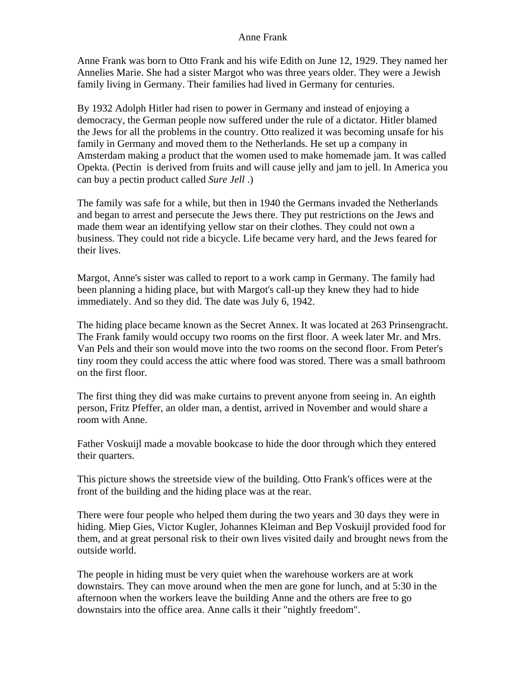## Anne Frank

Anne Frank was born to Otto Frank and his wife Edith on June 12, 1929. They named her Annelies Marie. She had a sister Margot who was three years older. They were a Jewish family living in Germany. Their families had lived in Germany for centuries.

By 1932 Adolph Hitler had risen to power in Germany and instead of enjoying a democracy, the German people now suffered under the rule of a dictator. Hitler blamed the Jews for all the problems in the country. Otto realized it was becoming unsafe for his family in Germany and moved them to the Netherlands. He set up a company in Amsterdam making a product that the women used to make homemade jam. It was called Opekta. (Pectin is derived from fruits and will cause jelly and jam to jell. In America you can buy a pectin product called *Sure Jell* .)

The family was safe for a while, but then in 1940 the Germans invaded the Netherlands and began to arrest and persecute the Jews there. They put restrictions on the Jews and made them wear an identifying yellow star on their clothes. They could not own a business. They could not ride a bicycle. Life became very hard, and the Jews feared for their lives.

Margot, Anne's sister was called to report to a work camp in Germany. The family had been planning a hiding place, but with Margot's call-up they knew they had to hide immediately. And so they did. The date was July 6, 1942.

The hiding place became known as the Secret Annex. It was located at 263 Prinsengracht. The Frank family would occupy two rooms on the first floor. A week later Mr. and Mrs. Van Pels and their son would move into the two rooms on the second floor. From Peter's tiny room they could access the attic where food was stored. There was a small bathroom on the first floor.

The first thing they did was make curtains to prevent anyone from seeing in. An eighth person, Fritz Pfeffer, an older man, a dentist, arrived in November and would share a room with Anne.

Father Voskuijl made a movable bookcase to hide the door through which they entered their quarters.

This picture shows the streetside view of the building. Otto Frank's offices were at the front of the building and the hiding place was at the rear.

There were four people who helped them during the two years and 30 days they were in hiding. Miep Gies, Victor Kugler, Johannes Kleiman and Bep Voskuijl provided food for them, and at great personal risk to their own lives visited daily and brought news from the outside world.

The people in hiding must be very quiet when the warehouse workers are at work downstairs. They can move around when the men are gone for lunch, and at 5:30 in the afternoon when the workers leave the building Anne and the others are free to go downstairs into the office area. Anne calls it their "nightly freedom".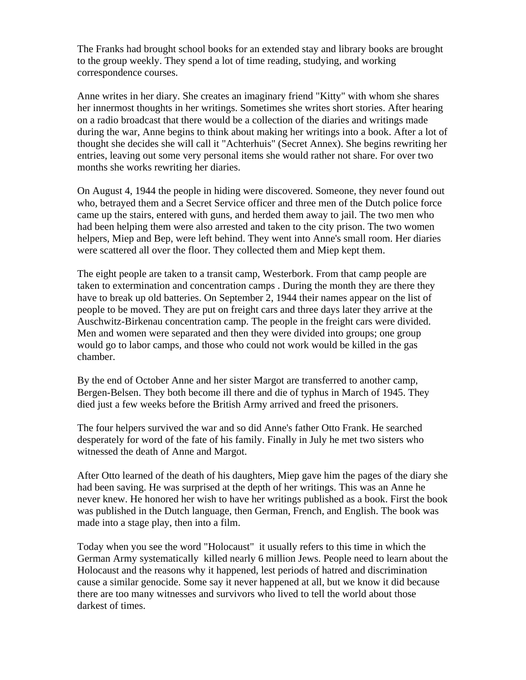The Franks had brought school books for an extended stay and library books are brought to the group weekly. They spend a lot of time reading, studying, and working correspondence courses.

Anne writes in her diary. She creates an imaginary friend "Kitty" with whom she shares her innermost thoughts in her writings. Sometimes she writes short stories. After hearing on a radio broadcast that there would be a collection of the diaries and writings made during the war, Anne begins to think about making her writings into a book. After a lot of thought she decides she will call it "Achterhuis" (Secret Annex). She begins rewriting her entries, leaving out some very personal items she would rather not share. For over two months she works rewriting her diaries.

On August 4, 1944 the people in hiding were discovered. Someone, they never found out who, betrayed them and a Secret Service officer and three men of the Dutch police force came up the stairs, entered with guns, and herded them away to jail. The two men who had been helping them were also arrested and taken to the city prison. The two women helpers, Miep and Bep, were left behind. They went into Anne's small room. Her diaries were scattered all over the floor. They collected them and Miep kept them.

The eight people are taken to a transit camp, Westerbork. From that camp people are taken to extermination and concentration camps . During the month they are there they have to break up old batteries. On September 2, 1944 their names appear on the list of people to be moved. They are put on freight cars and three days later they arrive at the Auschwitz-Birkenau concentration camp. The people in the freight cars were divided. Men and women were separated and then they were divided into groups; one group would go to labor camps, and those who could not work would be killed in the gas chamber.

By the end of October Anne and her sister Margot are transferred to another camp, Bergen-Belsen. They both become ill there and die of typhus in March of 1945. They died just a few weeks before the British Army arrived and freed the prisoners.

The four helpers survived the war and so did Anne's father Otto Frank. He searched desperately for word of the fate of his family. Finally in July he met two sisters who witnessed the death of Anne and Margot.

After Otto learned of the death of his daughters, Miep gave him the pages of the diary she had been saving. He was surprised at the depth of her writings. This was an Anne he never knew. He honored her wish to have her writings published as a book. First the book was published in the Dutch language, then German, French, and English. The book was made into a stage play, then into a film.

Today when you see the word "Holocaust" it usually refers to this time in which the German Army systematically killed nearly 6 million Jews. People need to learn about the Holocaust and the reasons why it happened, lest periods of hatred and discrimination cause a similar genocide. Some say it never happened at all, but we know it did because there are too many witnesses and survivors who lived to tell the world about those darkest of times.